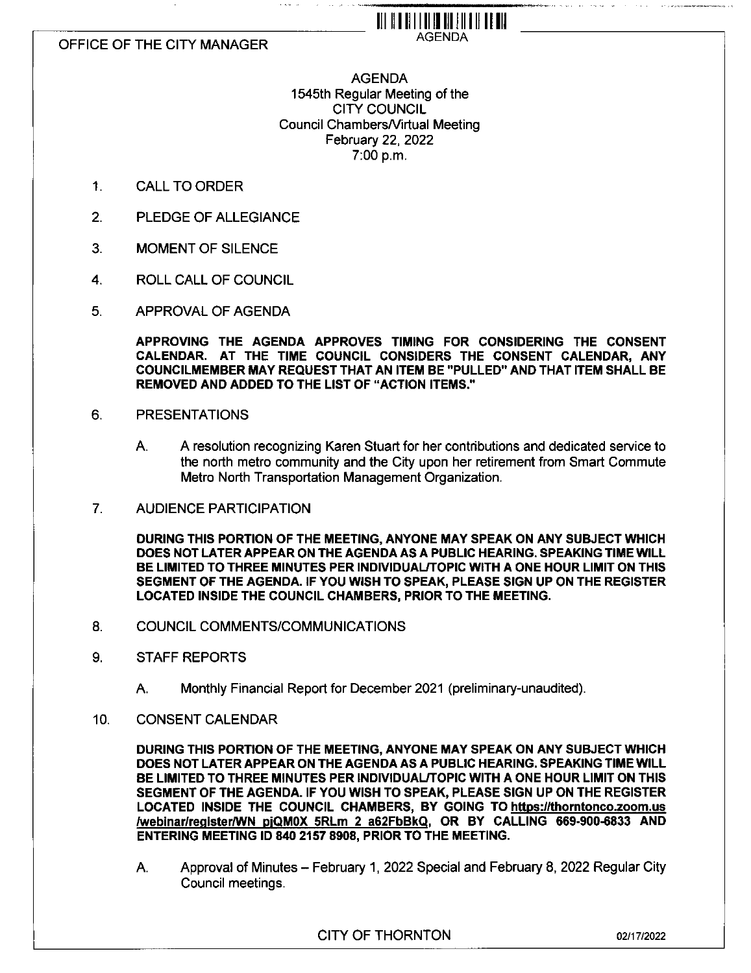## OFFICE OF THE CITY MANAGER

# AGENDA 1545th Regular Meeting of the CITY COUNCIL Council ChambersA/irtual Meeting February 22, 2022 7:00 p.m.

i wa sa

llllllllllllllllllllllllllll AGENDA

- 1. CALL TO ORDER
- 2. PLEDGE OF ALLEGIANCE
- 3. MOMENT OF SILENCE
- 4. ROLL CALL OF COUNCIL
- 5. APPROVAL OF AGENDA

**APPROVING THE AGENDA APPROVES TIMING FOR CONSIDERING THE CONSENT CALENDAR. AT THE TIME COUNCIL CONSIDERS THE CONSENT CALENDAR, ANY COUNCILMEMBER MAY REQUEST THAT AN ITEM BE "PULLED" AND THAT ITEM SHALL BE REMOVED AND ADDED TO THE LIST OF "ACTION ITEMS."**

- 6. PRESENTATIONS
	- A. A resolution recognizing Karen Stuart for her contributions and dedicated service to the north metro community and the City upon her retirement from Smart Commute Metro North Transportation Management Organization.
- 7. AUDIENCE PARTICIPATION

**DURING THIS PORTION OF THE MEETING, ANYONE MAY SPEAK ON ANY SUBJECT WHICH DOES NOT LATER APPEAR ON THE AGENDA AS A PUBLIC HEARING. SPEAKING TIME WILL BE LIMITED TO THREE MINUTES PER INDIVIDUAL/TOPIC WITH A ONE HOUR LIMIT ON THIS SEGMENT OF THE AGENDA. IF YOU WISH TO SPEAK, PLEASE SIGN UP ON THE REGISTER LOCATED INSIDE THE COUNCIL CHAMBERS, PRIOR TO THE MEETING.**

- 8. COUNCIL COMMENTS/COMMUNICATIONS
- 9. STAFF REPORTS
	- A. Monthly Financial Report for December 2021 (preliminary-unaudited).
- 10. CONSENT CALENDAR

**DURING THIS PORTION OF THE MEETING, ANYONE MAY SPEAK ON ANY SUBJECT WHICH DOES NOT LATER APPEAR ON THE AGENDA AS A PUBLIC HEARING. SPEAKING TIME WILL BE LIMITED TO THREE MINUTES PER INDIVIDUAL/TOPIC WITH A ONE HOUR LIMIT ON THIS SEGMENT OF THE AGENDA. IF YOU WISH TO SPEAK, PLEASE SIGN UP ON THE REGISTER LOCATED INSIDE THE COUNCIL CHAMBERS, BY GOING TO https://thorntonco.zoom.us /webinar/realster/WN pIQMOX SRLm 2 a62FbBkQ. OR BY CALLING 669-900-6833 AND ENTERING MEETING ID 840 2157 8908, PRIOR TO THE MEETING.**

A. Approval of Minutes - February 1, 2022 Special and February 8, 2022 Regular City Council meetings.

CITY OF THORNTON 02/17/2022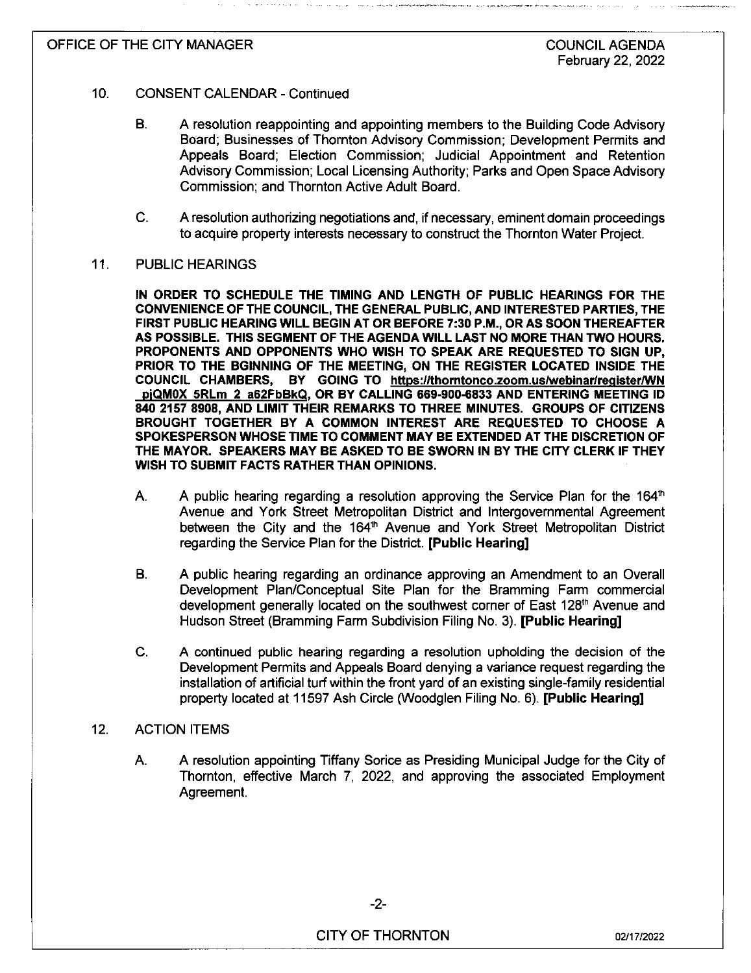## OFFICE OF THE CITY MANAGER

#### **10.** CONSENT CALENDAR - Continued

- B. A resolution reappointing and appointing members to the Building Code Advisory Board; Businesses of Thornton Advisory Commission; Development Permits and Appeals Board; Election Commission; Judicial Appointment and Retention Advisory Commission; Local Licensing Authority; Parks and Open Space Advisory Commission; and Thornton Active Adult Board.
- C. A resolution authorizing negotiations and, if necessary, eminent domain proceedings to acquire property interests necessary to construct the Thornton Water Project.

### 11. PUBLIC HEARINGS

IN ORDER TO SCHEDULE THE TIMING AND LENGTH OF PUBLIC HEARINGS FOR THE CONVENIENCE OF THE COUNCIL, THE GENERAL PUBLIC, AND INTERESTED PARTIES, THE FIRST PUBLIC HEARING WILL BEGIN AT OR BEFORE 7:30 P.M., OR AS SOON THEREAFTER AS POSSIBLE. THIS SEGMENT OF THE AGENDA WILL LAST NO MORE THAN TWO HOURS. PROPONENTS AND OPPONENTS WHO WISH TO SPEAK ARE REQUESTED TO SIGN UP, PRIOR TO THE BGINNING OF THE MEETING, ON THE REGISTER LOCATED INSIDE THE COUNCIL CHAMBERS, BY GOING TO https://thorntonco.zoom.us/webinar/register/WN PlQMOX SRLm 2 a62FbBkQ. OR BY CALLING 669-900-6833 AND ENTERING MEETING ID 840 2157 8908, AND LIMIT THEIR REMARKS TO THREE MINUTES. GROUPS OF CITIZENS BROUGHT TOGETHER BY A COMMON INTEREST ARE REQUESTED TO CHOOSE A SPOKESPERSON WHOSE TIME TO COMMENT MAY BE EXTENDED AT THE DISCRETION OF THE MAYOR. SPEAKERS MAY BE ASKED TO BE SWORN IN BY THE CITY CLERK IF THEY WISH TO SUBMIT FACTS RATHER THAN OPINIONS.

- A. A public hearing regarding a resolution approving the Service Plan for the 164 $^{\text{th}}$ Avenue and York Street Metropolitan District and Intergovernmental Agreement between the City and the 164<sup>th</sup> Avenue and York Street Metropolitan District regarding the Service Plan for the District. [Public Hearing]
- B. A public hearing regarding an ordinance approving an Amendment to an Overall Development Plan/Conceptual Site Plan for the Bramming Farm commercial development generally located on the southwest corner of East 128<sup>th</sup> Avenue and Hudson Street (Bramming Farm Subdivision Filing No. 3). [Public Hearing]
- **C.** A continued public hearing regarding a resolution upholding the decision of the Development Permits and Appeals Board denying a variance request regarding the installation of artificial turf within the front yard of an existing single-family residential property located at 11597 Ash Circle (Woodglen Filing No. 6). [Public Hearing]

## 12. ACTION ITEMS

A. A resolution appointing Tiffany Sorice as Presiding Municipal Judge for the City of Thornton, effective March 7, 2022, and approving the associated Employment Agreement.